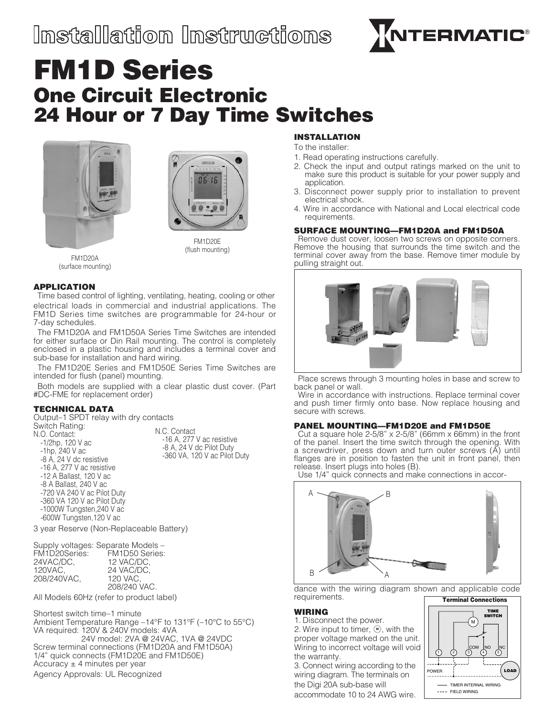

# FM1D Series One Circuit Electronic 24 Hour or 7 Day Time Switches





FM1D20A (surface mounting)

FM1D20E (flush mounting)

### APPLICATION

Time based control of lighting, ventilating, heating, cooling or other electrical loads in commercial and industrial applications. The FM1D Series time switches are programmable for 24-hour or 7-day schedules.

The FM1D20A and FM1D50A Series Time Switches are intended for either surface or Din Rail mounting. The control is completely enclosed in a plastic housing and includes a terminal cover and sub-base for installation and hard wiring.

The FM1D20E Series and FM1D50E Series Time Switches are intended for flush (panel) mounting.

Both models are supplied with a clear plastic dust cover. (Part #DC-FME for replacement order)

# TECHNICAL DATA

Output–1 SPDT relay with dry contacts Switch Rating: N.O. Contact: -1/2hp, 120 V ac -1hp, 240 V ac -8 A, 24 V dc resistive -16 A, 277 V ac resistive -12 A Ballast, 120 V ac -8 A Ballast, 240 V ac -720 VA 240 V ac Pilot Duty -360 VA 120 V ac Pilot Duty -1000W Tungsten,240 V ac -600W Tungsten,120 V ac N.C. Contact -16 A, 277 V ac resistive -8 A, 24 V dc Pilot Duty -360 VA, 120 V ac Pilot Duty

3 year Reserve (Non-Replaceable Battery)

|               | Supply voltages: Separate Models - |
|---------------|------------------------------------|
| FM1D20Series: | FM1D50 Series:                     |
| 24VAC/DC.     | 12 VAC/DC.                         |
| 120VAC,       | 24 VAC/DC.                         |
| 208/240VAC.   | 120 VAC.                           |
|               | 208/240 VAC.                       |

All Models 60Hz (refer to product label)

Shortest switch time–1 minute Ambient Temperature Range –14°F to 131°F (–10°C to 55°C) VA required: 120V & 240V models: 4VA 24V model: 2VA @ 24VAC, 1VA @ 24VDC Screw terminal connections (FM1D20A and FM1D50A) 1/4" quick connects (FM1D20E and FM1D50E) Accuracy  $\pm$  4 minutes per year Agency Approvals: UL Recognized

# INSTALLATION

To the installer:

- 1. Read operating instructions carefully.
- 2. Check the input and output ratings marked on the unit to make sure this product is suitable for your power supply and application.
- 3. Disconnect power supply prior to installation to prevent electrical shock.
- 4. Wire in accordance with National and Local electrical code requirements.

#### SURFACE MOUNTING—FM1D20A and FM1D50A

Remove dust cover, loosen two screws on opposite corners. Remove the housing that surrounds the time switch and the terminal cover away from the base. Remove timer module by pulling straight out.



Place screws through 3 mounting holes in base and screw to back panel or wall.

Wire in accordance with instructions. Replace terminal cover and push timer firmly onto base. Now replace housing and secure with screws.

# PANEL MOUNTING—FM1D20E and FM1D50E

Cut a square hole  $2-5/8$ " x  $2-5/8$ " (66mm x 66mm) in the front of the panel. Insert the time switch through the opening. With a screwdriver, press down and turn outer screws (A) until flanges are in position to fasten the unit in front panel, then release. Insert plugs into holes (B).

Use 1/4" quick connects and make connections in accor-



dance with the wiring diagram shown and applicable code **M** requirements.

#### WIRING

1. Disconnect the power. 2. Wire input to timer,  $\textcircled{m}$ , with the proper voltage marked on the unit. Wiring to incorrect voltage will void the warranty.

3. Connect wiring according to the wiring diagram. The terminals on the Digi 20A sub-base will accommodate 10 to 24 AWG wire.